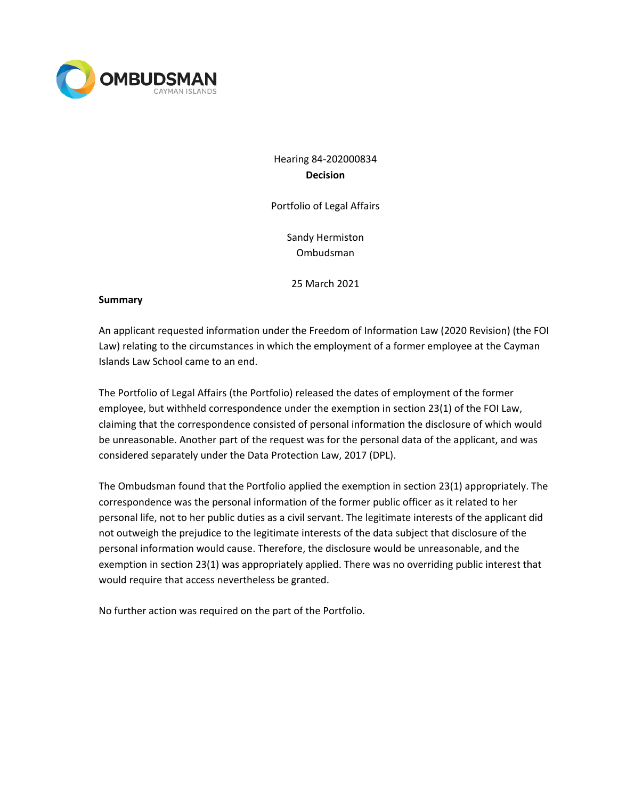

Hearing 84-202000834 **Decision**

Portfolio of Legal Affairs

Sandy Hermiston Ombudsman

25 March 2021

#### **Summary**

An applicant requested information under the Freedom of Information Law (2020 Revision) (the FOI Law) relating to the circumstances in which the employment of a former employee at the Cayman Islands Law School came to an end.

The Portfolio of Legal Affairs (the Portfolio) released the dates of employment of the former employee, but withheld correspondence under the exemption in section 23(1) of the FOI Law, claiming that the correspondence consisted of personal information the disclosure of which would be unreasonable. Another part of the request was for the personal data of the applicant, and was considered separately under the Data Protection Law, 2017 (DPL).

The Ombudsman found that the Portfolio applied the exemption in section 23(1) appropriately. The correspondence was the personal information of the former public officer as it related to her personal life, not to her public duties as a civil servant. The legitimate interests of the applicant did not outweigh the prejudice to the legitimate interests of the data subject that disclosure of the personal information would cause. Therefore, the disclosure would be unreasonable, and the exemption in section 23(1) was appropriately applied. There was no overriding public interest that would require that access nevertheless be granted.

No further action was required on the part of the Portfolio.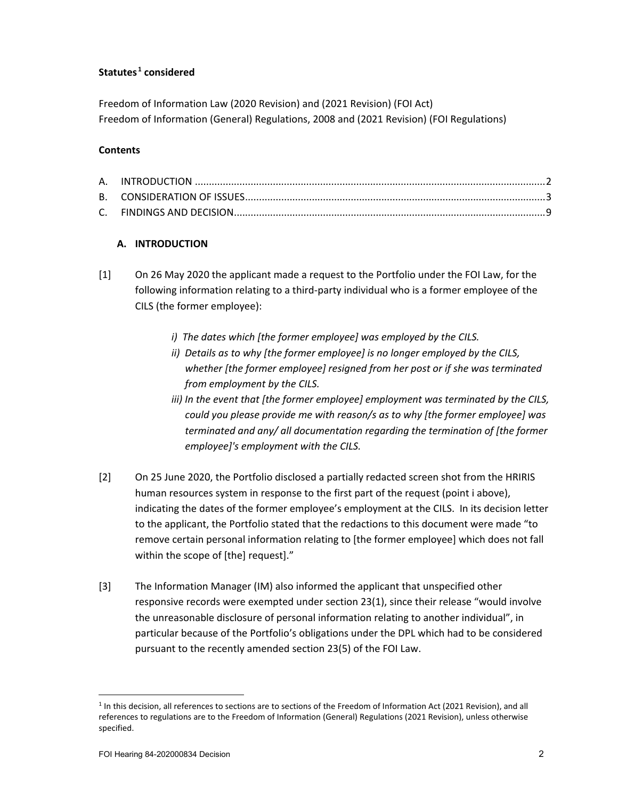## **Statutes [1](#page-1-0) considered**

Freedom of Information Law (2020 Revision) and (2021 Revision) (FOI Act) Freedom of Information (General) Regulations, 2008 and (2021 Revision) (FOI Regulations)

### **Contents**

## **A. INTRODUCTION**

- [1] On 26 May 2020 the applicant made a request to the Portfolio under the FOI Law, for the following information relating to a third-party individual who is a former employee of the CILS (the former employee):
	- *i) The dates which [the former employee] was employed by the CILS.*
	- *ii) Details as to why [the former employee] is no longer employed by the CILS, whether [the former employee] resigned from her post or if she was terminated from employment by the CILS.*
	- *iii) In the event that [the former employee] employment was terminated by the CILS, could you please provide me with reason/s as to why [the former employee] was terminated and any/ all documentation regarding the termination of [the former employee]'s employment with the CILS.*
- [2] On 25 June 2020, the Portfolio disclosed a partially redacted screen shot from the HRIRIS human resources system in response to the first part of the request (point i above), indicating the dates of the former employee's employment at the CILS. In its decision letter to the applicant, the Portfolio stated that the redactions to this document were made "to remove certain personal information relating to [the former employee] which does not fall within the scope of [the] request]."
- [3] The Information Manager (IM) also informed the applicant that unspecified other responsive records were exempted under section 23(1), since their release "would involve the unreasonable disclosure of personal information relating to another individual", in particular because of the Portfolio's obligations under the DPL which had to be considered pursuant to the recently amended section 23(5) of the FOI Law.

<span id="page-1-0"></span> $1$  In this decision, all references to sections are to sections of the Freedom of Information Act (2021 Revision), and all references to regulations are to the Freedom of Information (General) Regulations (2021 Revision), unless otherwise specified.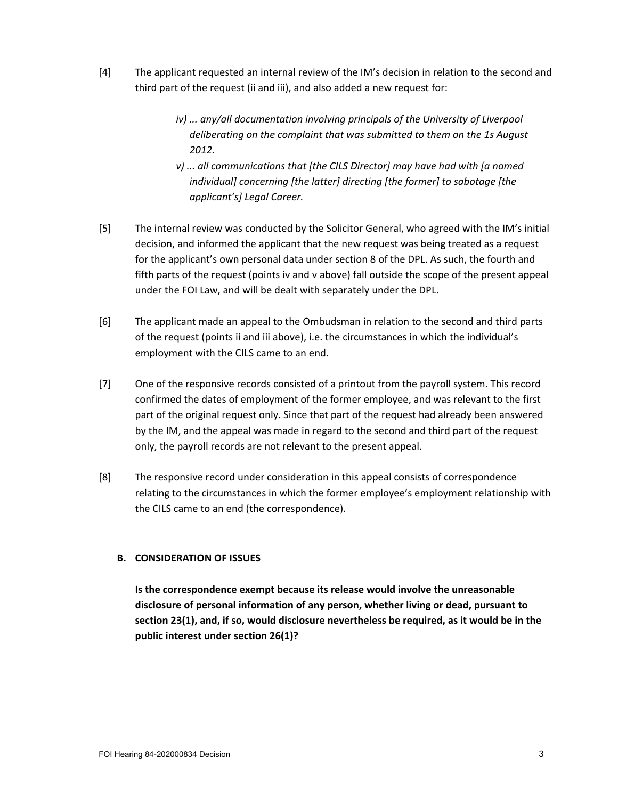- [4] The applicant requested an internal review of the IM's decision in relation to the second and third part of the request (ii and iii), and also added a new request for:
	- *iv) ... any/all documentation involving principals of the University of Liverpool deliberating on the complaint that was submitted to them on the 1s August 2012.*
	- *v) ... all communications that [the CILS Director] may have had with [a named individual] concerning [the latter] directing [the former] to sabotage [the applicant's] Legal Career.*
- [5] The internal review was conducted by the Solicitor General, who agreed with the IM's initial decision, and informed the applicant that the new request was being treated as a request for the applicant's own personal data under section 8 of the DPL. As such, the fourth and fifth parts of the request (points iv and v above) fall outside the scope of the present appeal under the FOI Law, and will be dealt with separately under the DPL.
- [6] The applicant made an appeal to the Ombudsman in relation to the second and third parts of the request (points ii and iii above), i.e. the circumstances in which the individual's employment with the CILS came to an end.
- [7] One of the responsive records consisted of a printout from the payroll system. This record confirmed the dates of employment of the former employee, and was relevant to the first part of the original request only. Since that part of the request had already been answered by the IM, and the appeal was made in regard to the second and third part of the request only, the payroll records are not relevant to the present appeal.
- [8] The responsive record under consideration in this appeal consists of correspondence relating to the circumstances in which the former employee's employment relationship with the CILS came to an end (the correspondence).

# **B. CONSIDERATION OF ISSUES**

**Is the correspondence exempt because its release would involve the unreasonable disclosure of personal information of any person, whether living or dead, pursuant to section 23(1), and, if so, would disclosure nevertheless be required, as it would be in the public interest under section 26(1)?**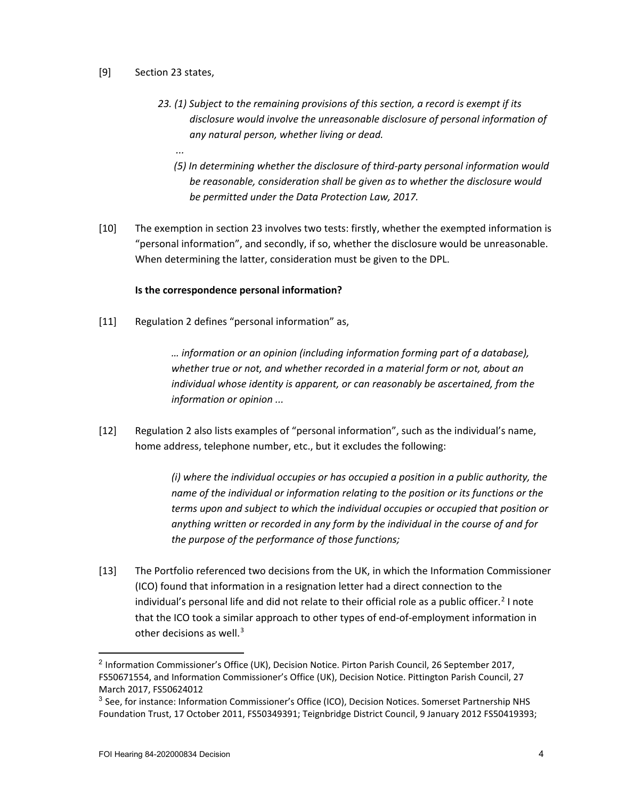### [9] Section 23 states,

*...*

- *23. (1) Subject to the remaining provisions of this section, a record is exempt if its disclosure would involve the unreasonable disclosure of personal information of any natural person, whether living or dead.* 
	- *(5) In determining whether the disclosure of third-party personal information would be reasonable, consideration shall be given as to whether the disclosure would be permitted under the Data Protection Law, 2017.*
- [10] The exemption in section 23 involves two tests: firstly, whether the exempted information is "personal information", and secondly, if so, whether the disclosure would be unreasonable. When determining the latter, consideration must be given to the DPL.

### **Is the correspondence personal information?**

[11] Regulation 2 defines "personal information" as,

*… information or an opinion (including information forming part of a database), whether true or not, and whether recorded in a material form or not, about an individual whose identity is apparent, or can reasonably be ascertained, from the information or opinion ...*

[12] Regulation 2 also lists examples of "personal information", such as the individual's name, home address, telephone number, etc., but it excludes the following:

> *(i) where the individual occupies or has occupied a position in a public authority, the name of the individual or information relating to the position or its functions or the terms upon and subject to which the individual occupies or occupied that position or anything written or recorded in any form by the individual in the course of and for the purpose of the performance of those functions;*

[13] The Portfolio referenced two decisions from the UK, in which the Information Commissioner (ICO) found that information in a resignation letter had a direct connection to the individual's personal life and did not relate to their official role as a public officer.<sup>[2](#page-3-0)</sup> I note that the ICO took a similar approach to other types of end-of-employment information in other decisions as well.<sup>[3](#page-3-1)</sup>

<span id="page-3-0"></span><sup>&</sup>lt;sup>2</sup> Information Commissioner's Office (UK), Decision Notice. Pirton Parish Council, 26 September 2017, FS50671554, and Information Commissioner's Office (UK), Decision Notice. Pittington Parish Council, 27 March 2017, FS50624012

<span id="page-3-1"></span><sup>&</sup>lt;sup>3</sup> See, for instance: Information Commissioner's Office (ICO), Decision Notices. Somerset Partnership NHS Foundation Trust, 17 October 2011, FS50349391; Teignbridge District Council, 9 January 2012 FS50419393;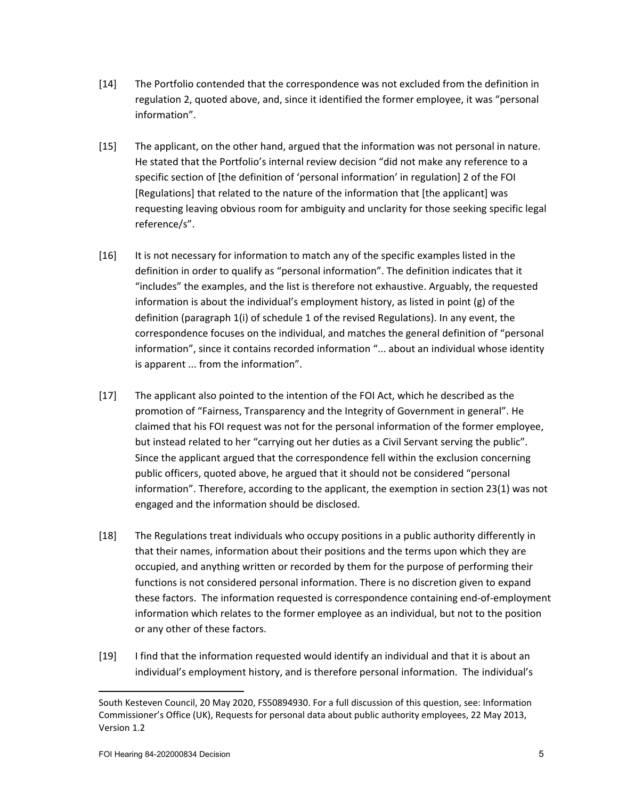- [14] The Portfolio contended that the correspondence was not excluded from the definition in regulation 2, quoted above, and, since it identified the former employee, it was "personal information".
- [15] The applicant, on the other hand, argued that the information was not personal in nature. He stated that the Portfolio's internal review decision "did not make any reference to a specific section of [the definition of 'personal information' in regulation] 2 of the FOI [Regulations] that related to the nature of the information that [the applicant] was requesting leaving obvious room for ambiguity and unclarity for those seeking specific legal reference/s".
- [16] It is not necessary for information to match any of the specific examples listed in the definition in order to qualify as "personal information". The definition indicates that it "includes" the examples, and the list is therefore not exhaustive. Arguably, the requested information is about the individual's employment history, as listed in point (g) of the definition (paragraph 1(i) of schedule 1 of the revised Regulations). In any event, the correspondence focuses on the individual, and matches the general definition of "personal information", since it contains recorded information "... about an individual whose identity is apparent ... from the information".
- [17] The applicant also pointed to the intention of the FOI Act, which he described as the promotion of "Fairness, Transparency and the Integrity of Government in general". He claimed that his FOI request was not for the personal information of the former employee, but instead related to her "carrying out her duties as a Civil Servant serving the public". Since the applicant argued that the correspondence fell within the exclusion concerning public officers, quoted above, he argued that it should not be considered "personal information". Therefore, according to the applicant, the exemption in section 23(1) was not engaged and the information should be disclosed.
- [18] The Regulations treat individuals who occupy positions in a public authority differently in that their names, information about their positions and the terms upon which they are occupied, and anything written or recorded by them for the purpose of performing their functions is not considered personal information. There is no discretion given to expand these factors. The information requested is correspondence containing end-of-employment information which relates to the former employee as an individual, but not to the position or any other of these factors.
- [19] I find that the information requested would identify an individual and that it is about an individual's employment history, and is therefore personal information. The individual's

South Kesteven Council, 20 May 2020, FS50894930. For a full discussion of this question, see: Information Commissioner's Office (UK), Requests for personal data about public authority employees, 22 May 2013, Version 1.2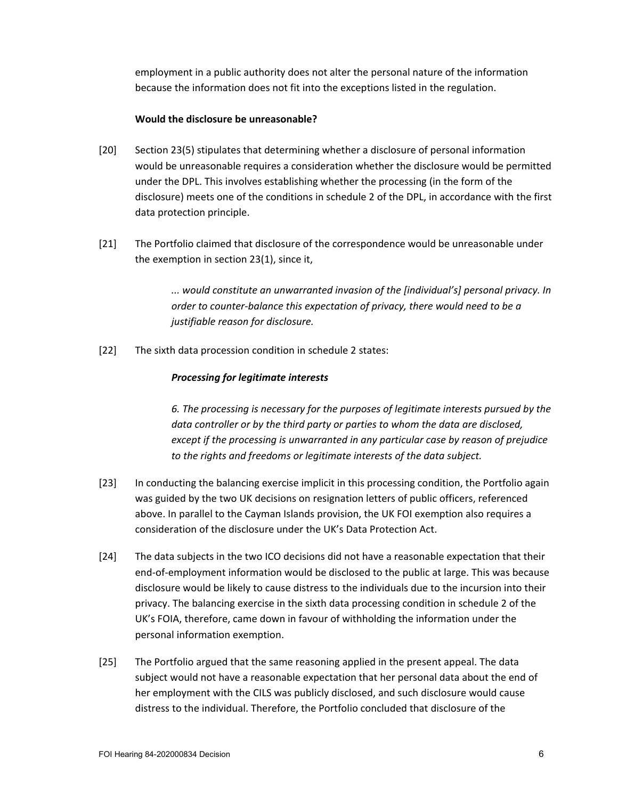employment in a public authority does not alter the personal nature of the information because the information does not fit into the exceptions listed in the regulation.

### **Would the disclosure be unreasonable?**

- [20] Section 23(5) stipulates that determining whether a disclosure of personal information would be unreasonable requires a consideration whether the disclosure would be permitted under the DPL. This involves establishing whether the processing (in the form of the disclosure) meets one of the conditions in schedule 2 of the DPL, in accordance with the first data protection principle.
- [21] The Portfolio claimed that disclosure of the correspondence would be unreasonable under the exemption in section 23(1), since it,

*... would constitute an unwarranted invasion of the [individual's] personal privacy. In order to counter-balance this expectation of privacy, there would need to be a justifiable reason for disclosure.*

[22] The sixth data procession condition in schedule 2 states:

## *Processing for legitimate interests*

*6. The processing is necessary for the purposes of legitimate interests pursued by the data controller or by the third party or parties to whom the data are disclosed, except if the processing is unwarranted in any particular case by reason of prejudice to the rights and freedoms or legitimate interests of the data subject.*

- [23] In conducting the balancing exercise implicit in this processing condition, the Portfolio again was guided by the two UK decisions on resignation letters of public officers, referenced above. In parallel to the Cayman Islands provision, the UK FOI exemption also requires a consideration of the disclosure under the UK's Data Protection Act.
- [24] The data subjects in the two ICO decisions did not have a reasonable expectation that their end-of-employment information would be disclosed to the public at large. This was because disclosure would be likely to cause distress to the individuals due to the incursion into their privacy. The balancing exercise in the sixth data processing condition in schedule 2 of the UK's FOIA, therefore, came down in favour of withholding the information under the personal information exemption.
- [25] The Portfolio argued that the same reasoning applied in the present appeal. The data subject would not have a reasonable expectation that her personal data about the end of her employment with the CILS was publicly disclosed, and such disclosure would cause distress to the individual. Therefore, the Portfolio concluded that disclosure of the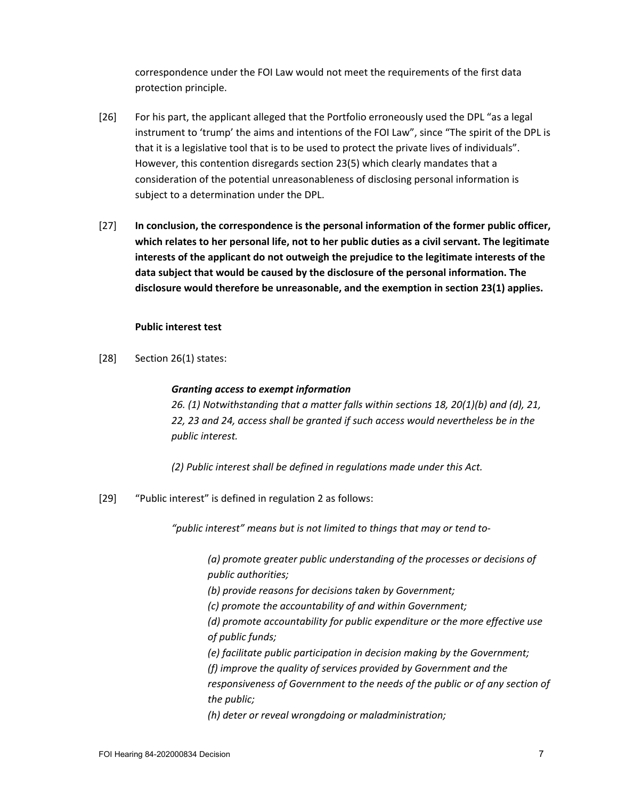correspondence under the FOI Law would not meet the requirements of the first data protection principle.

- [26] For his part, the applicant alleged that the Portfolio erroneously used the DPL "as a legal instrument to 'trump' the aims and intentions of the FOI Law", since "The spirit of the DPL is that it is a legislative tool that is to be used to protect the private lives of individuals". However, this contention disregards section 23(5) which clearly mandates that a consideration of the potential unreasonableness of disclosing personal information is subject to a determination under the DPL.
- [27] **In conclusion, the correspondence is the personal information of the former public officer, which relates to her personal life, not to her public duties as a civil servant. The legitimate interests of the applicant do not outweigh the prejudice to the legitimate interests of the data subject that would be caused by the disclosure of the personal information. The disclosure would therefore be unreasonable, and the exemption in section 23(1) applies.**

#### **Public interest test**

[28] Section 26(1) states:

#### *Granting access to exempt information*

*26. (1) Notwithstanding that a matter falls within sections 18, 20(1)(b) and (d), 21, 22, 23 and 24, access shall be granted if such access would nevertheless be in the public interest.*

*(2) Public interest shall be defined in regulations made under this Act.*

[29] "Public interest" is defined in regulation 2 as follows:

*"public interest" means but is not limited to things that may or tend to-*

*(a) promote greater public understanding of the processes or decisions of public authorities;*

*(b) provide reasons for decisions taken by Government;*

*(c) promote the accountability of and within Government;*

*(d) promote accountability for public expenditure or the more effective use of public funds;*

*(e) facilitate public participation in decision making by the Government;*

*(f) improve the quality of services provided by Government and the* 

*responsiveness of Government to the needs of the public or of any section of the public;*

*(h) deter or reveal wrongdoing or maladministration;*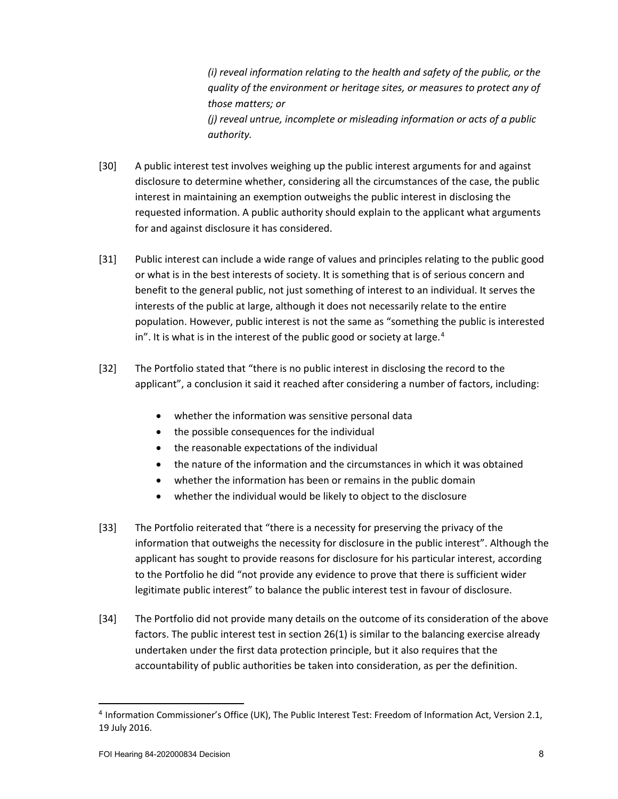*(i) reveal information relating to the health and safety of the public, or the quality of the environment or heritage sites, or measures to protect any of those matters; or (j) reveal untrue, incomplete or misleading information or acts of a public authority.*

- [30] A public interest test involves weighing up the public interest arguments for and against disclosure to determine whether, considering all the circumstances of the case, the public interest in maintaining an exemption outweighs the public interest in disclosing the requested information. A public authority should explain to the applicant what arguments for and against disclosure it has considered.
- [31] Public interest can include a wide range of values and principles relating to the public good or what is in the best interests of society. It is something that is of serious concern and benefit to the general public, not just something of interest to an individual. It serves the interests of the public at large, although it does not necessarily relate to the entire population. However, public interest is not the same as "something the public is interested in". It is what is in the interest of the public good or society at large.<sup>[4](#page-7-0)</sup>
- [32] The Portfolio stated that "there is no public interest in disclosing the record to the applicant", a conclusion it said it reached after considering a number of factors, including:
	- whether the information was sensitive personal data
	- the possible consequences for the individual
	- the reasonable expectations of the individual
	- the nature of the information and the circumstances in which it was obtained
	- whether the information has been or remains in the public domain
	- whether the individual would be likely to object to the disclosure
- [33] The Portfolio reiterated that "there is a necessity for preserving the privacy of the information that outweighs the necessity for disclosure in the public interest". Although the applicant has sought to provide reasons for disclosure for his particular interest, according to the Portfolio he did "not provide any evidence to prove that there is sufficient wider legitimate public interest" to balance the public interest test in favour of disclosure.
- [34] The Portfolio did not provide many details on the outcome of its consideration of the above factors. The public interest test in section 26(1) is similar to the balancing exercise already undertaken under the first data protection principle, but it also requires that the accountability of public authorities be taken into consideration, as per the definition.

<span id="page-7-0"></span><sup>4</sup> Information Commissioner's Office (UK), The Public Interest Test: Freedom of Information Act, Version 2.1, 19 July 2016.